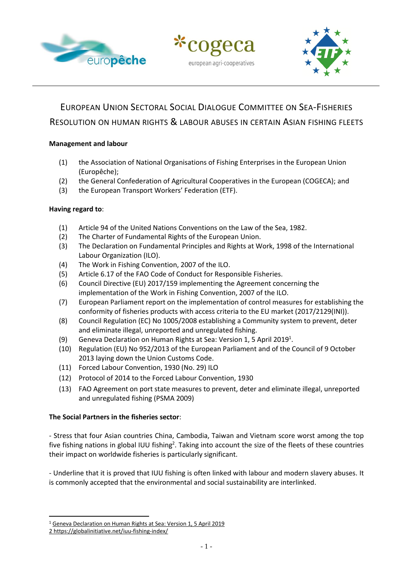





# EUROPEAN UNION SECTORAL SOCIAL DIALOGUE COMMITTEE ON SEA-FISHERIES RESOLUTION ON HUMAN RIGHTS & LABOUR ABUSES IN CERTAIN ASIAN FISHING FLEETS

### **Management and labour**

- (1) the Association of National Organisations of Fishing Enterprises in the European Union (Europêche);
- (2) the General Confederation of Agricultural Cooperatives in the European (COGECA); and
- (3) the European Transport Workers' Federation (ETF).

## **Having regard to**:

- (1) Article 94 of the United Nations Conventions on the Law of the Sea, 1982.
- (2) The Charter of Fundamental Rights of the European Union.
- (3) The Declaration on Fundamental Principles and Rights at Work, 1998 of the International Labour Organization (ILO).
- (4) The Work in Fishing Convention, 2007 of the ILO.
- (5) Article 6.17 of the FAO Code of Conduct for Responsible Fisheries.
- (6) Council Directive (EU) 2017/159 implementing the Agreement concerning the implementation of the Work in Fishing Convention, 2007 of the ILO.
- (7) European Parliament report on the implementation of control measures for establishing the conformity of fisheries products with access criteria to the EU market (2017/2129(INI)).
- (8) Council Regulation (EC) No 1005/2008 establishing a Community system to prevent, deter and eliminate illegal, unreported and unregulated fishing.
- (9) Geneva Declaration on Human Rights at Sea: Version 1, 5 April 2019<sup>1</sup>.
- (10) Regulation (EU) No 952/2013 of the European Parliament and of the Council of 9 October 2013 laying down the Union Customs Code.
- (11) Forced Labour Convention, 1930 (No. 29) ILO
- (12) Protocol of 2014 to the Forced Labour Convention, 1930
- (13) FAO Agreement on port state measures to prevent, deter and eliminate illegal, unreported and unregulated fishing (PSMA 2009)

#### **The Social Partners in the fisheries sector**:

- Stress that four Asian countries China, Cambodia, Taiwan and Vietnam score worst among the top five fishing nations in global IUU fishing<sup>2</sup>. Taking into account the size of the fleets of these countries their impact on worldwide fisheries is particularly significant.

- Underline that it is proved that IUU fishing is often linked with labour and modern slavery abuses. It is commonly accepted that the environmental and social sustainability are interlinked.

<sup>1</sup> [Geneva Declaration on Human Rights at Sea: Version 1, 5 April 2019](https://gdhras.com/wp-content/uploads/2019/07/HRAS_GENEVA_DECLARATION_ON_HUMAN_RIGHTS_AT_SEA_April_2019-Version1-FINAL-LOCKED.pdf)

<sup>2</sup> <https://globalinitiative.net/iuu-fishing-index/>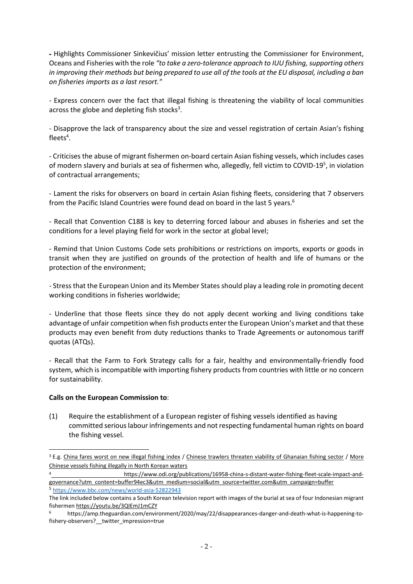- Highlights Commissioner Sinkevičius' mission letter entrusting the Commissioner for Environment, Oceans and Fisheries with the role *"to take a zero-tolerance approach to IUU fishing, supporting others in improving their methods but being prepared to use all of the tools at the EU disposal, including a ban on fisheries imports as a last resort."*

- Express concern over the fact that illegal fishing is threatening the viability of local communities across the globe and depleting fish stocks<sup>3</sup>.

- Disapprove the lack of transparency about the size and vessel registration of certain Asian's fishing fleets 4 .

- Criticises the abuse of migrant fishermen on-board certain Asian fishing vessels, which includes cases of modern slavery and burials at sea of fishermen who, allegedly, fell victim to COVID-19<sup>5</sup>, in violation of contractual arrangements;

- Lament the risks for observers on board in certain Asian fishing fleets, considering that 7 observers from the Pacific Island Countries were found dead on board in the last 5 years. 6

- Recall that Convention C188 is key to deterring forced labour and abuses in fisheries and set the conditions for a level playing field for work in the sector at global level;

- Remind that Union Customs Code sets prohibitions or restrictions on imports, exports or goods in transit when they are justified on grounds of the protection of health and life of humans or the protection of the environment;

- Stress that the European Union and its Member States should play a leading role in promoting decent working conditions in fisheries worldwide;

- Underline that those fleets since they do not apply decent working and living conditions take advantage of unfair competition when fish products enter the European Union's market and that these products may even benefit from duty reductions thanks to Trade Agreements or autonomous tariff quotas (ATQs).

- Recall that the Farm to Fork Strategy calls for a fair, healthy and environmentally-friendly food system, which is incompatible with importing fishery products from countries with little or no concern for sustainability.

#### **Calls on the European Commission to**:

(1) Require the establishment of a European register of fishing vessels identified as having committed serious labour infringements and not respecting fundamental human rights on board the fishing vessel.

<sup>&</sup>lt;sup>3</sup> E.g[. China fares worst on new illegal fishing index](https://www.undercurrentnews.com/2019/02/08/china-fares-worst-on-new-illegal-fishing-index/) / [Chinese trawlers threaten viability of Ghanaian fishing sector](https://www.undercurrentnews.com/2020/05/27/chinese-trawlers-threaten-viability-of-ghanian-fishing-sector-group-warns/?utm_source=Undercurrent+News+Alerts&utm_campaign=d3d9f3877f-Fisheries_roundup_Jun_01_2020&utm_medium=email&utm_term=0_feb55e2e23) / More [Chinese vessels fishing illegally in North Korean waters](https://www.undercurrentnews.com/2020/05/28/more-chinese-vessels-fishing-illegally-in-north-korean-waters/?utm_source=Undercurrent+News+Alerts&utm_campaign=d3d9f3877f-Fisheries_roundup_Jun_01_2020&utm_medium=email&utm_term=0_feb55e2e23-d3d9f3877f-)

<sup>4</sup> [https://www.odi.org/publications/16958-china-s-distant-water-fishing-fleet-scale-impact-and](https://www.odi.org/publications/16958-china-s-distant-water-fishing-fleet-scale-impact-and-governance?utm_content=buffer94ec3&utm_medium=social&utm_source=twitter.com&utm_campaign=buffer)[governance?utm\\_content=buffer94ec3&utm\\_medium=social&utm\\_source=twitter.com&utm\\_campaign=buffer](https://www.odi.org/publications/16958-china-s-distant-water-fishing-fleet-scale-impact-and-governance?utm_content=buffer94ec3&utm_medium=social&utm_source=twitter.com&utm_campaign=buffer) <sup>5</sup> <https://www.bbc.com/news/world-asia-52822943>

The link included below contains a South Korean television report with images of the burial at sea of four Indonesian migrant fishermen <https://youtu.be/3QIEmJ1mCZY>

<sup>6</sup> [https://amp.theguardian.com/environment/2020/may/22/disappearances-danger-and-death-what-is-happening-to](https://amp.theguardian.com/environment/2020/may/22/disappearances-danger-and-death-what-is-happening-to-fishery-observers?__twitter_impression=true)fishery-observers? twitter impression=true